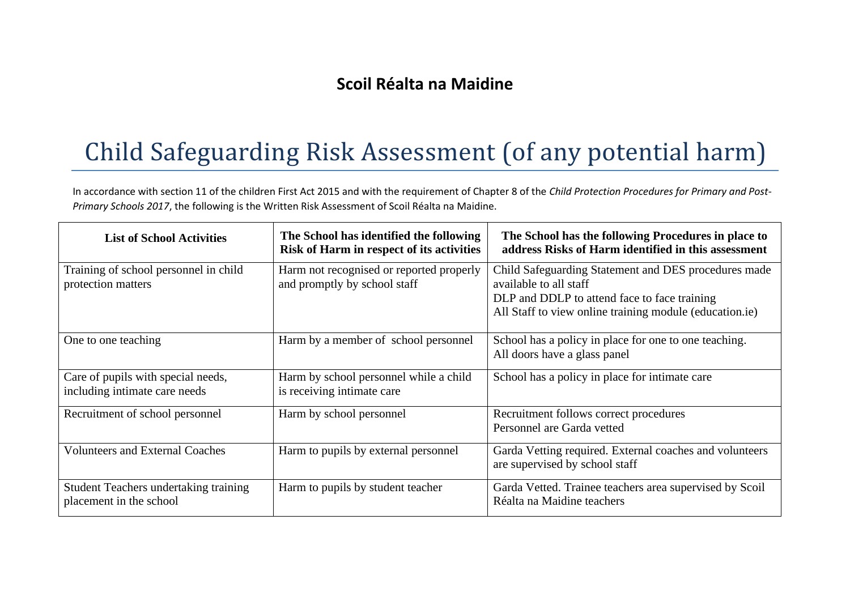## **Scoil Réalta na Maidine**

## Child Safeguarding Risk Assessment (of any potential harm)

In accordance with section 11 of the children First Act 2015 and with the requirement of Chapter 8 of the *Child Protection Procedures for Primary and Post-Primary Schools 2017*, the following is the Written Risk Assessment of Scoil Réalta na Maidine.

| <b>List of School Activities</b>                                        | The School has identified the following<br>Risk of Harm in respect of its activities | The School has the following Procedures in place to<br>address Risks of Harm identified in this assessment                                                                                |
|-------------------------------------------------------------------------|--------------------------------------------------------------------------------------|-------------------------------------------------------------------------------------------------------------------------------------------------------------------------------------------|
| Training of school personnel in child<br>protection matters             | Harm not recognised or reported properly<br>and promptly by school staff             | Child Safeguarding Statement and DES procedures made<br>available to all staff<br>DLP and DDLP to attend face to face training<br>All Staff to view online training module (education.ie) |
| One to one teaching                                                     | Harm by a member of school personnel                                                 | School has a policy in place for one to one teaching.<br>All doors have a glass panel                                                                                                     |
| Care of pupils with special needs,<br>including intimate care needs     | Harm by school personnel while a child<br>is receiving intimate care                 | School has a policy in place for intimate care                                                                                                                                            |
| Recruitment of school personnel                                         | Harm by school personnel                                                             | Recruitment follows correct procedures<br>Personnel are Garda vetted                                                                                                                      |
| <b>Volunteers and External Coaches</b>                                  | Harm to pupils by external personnel                                                 | Garda Vetting required. External coaches and volunteers<br>are supervised by school staff                                                                                                 |
| <b>Student Teachers undertaking training</b><br>placement in the school | Harm to pupils by student teacher                                                    | Garda Vetted. Trainee teachers area supervised by Scoil<br>Réalta na Maidine teachers                                                                                                     |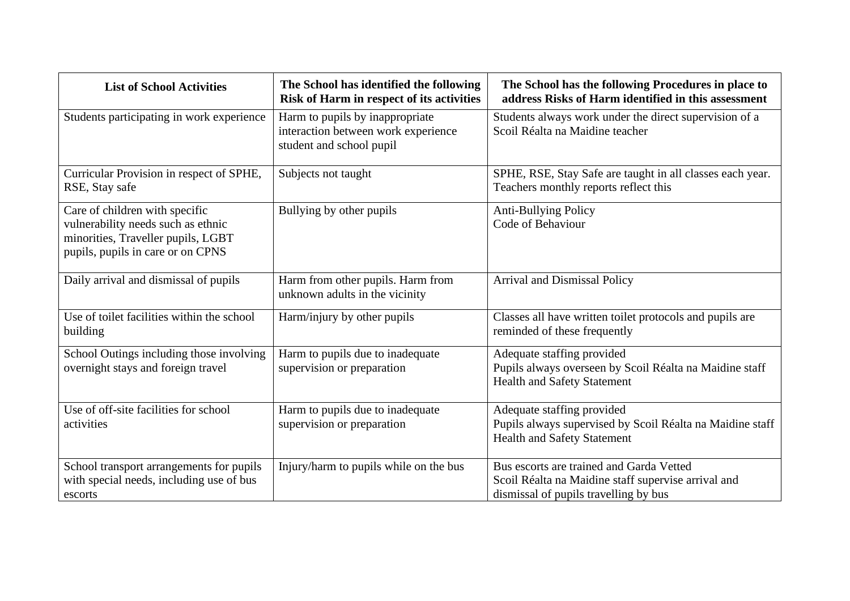| <b>List of School Activities</b>                                                                                                                | The School has identified the following<br>Risk of Harm in respect of its activities               | The School has the following Procedures in place to<br>address Risks of Harm identified in this assessment                               |
|-------------------------------------------------------------------------------------------------------------------------------------------------|----------------------------------------------------------------------------------------------------|------------------------------------------------------------------------------------------------------------------------------------------|
| Students participating in work experience                                                                                                       | Harm to pupils by inappropriate<br>interaction between work experience<br>student and school pupil | Students always work under the direct supervision of a<br>Scoil Réalta na Maidine teacher                                                |
| Curricular Provision in respect of SPHE,<br>RSE, Stay safe                                                                                      | Subjects not taught                                                                                | SPHE, RSE, Stay Safe are taught in all classes each year.<br>Teachers monthly reports reflect this                                       |
| Care of children with specific<br>vulnerability needs such as ethnic<br>minorities, Traveller pupils, LGBT<br>pupils, pupils in care or on CPNS | Bullying by other pupils                                                                           | Anti-Bullying Policy<br>Code of Behaviour                                                                                                |
| Daily arrival and dismissal of pupils                                                                                                           | Harm from other pupils. Harm from<br>unknown adults in the vicinity                                | Arrival and Dismissal Policy                                                                                                             |
| Use of toilet facilities within the school<br>building                                                                                          | Harm/injury by other pupils                                                                        | Classes all have written toilet protocols and pupils are<br>reminded of these frequently                                                 |
| School Outings including those involving<br>overnight stays and foreign travel                                                                  | Harm to pupils due to inadequate<br>supervision or preparation                                     | Adequate staffing provided<br>Pupils always overseen by Scoil Réalta na Maidine staff<br><b>Health and Safety Statement</b>              |
| Use of off-site facilities for school<br>activities                                                                                             | Harm to pupils due to inadequate<br>supervision or preparation                                     | Adequate staffing provided<br>Pupils always supervised by Scoil Réalta na Maidine staff<br><b>Health and Safety Statement</b>            |
| School transport arrangements for pupils<br>with special needs, including use of bus<br>escorts                                                 | Injury/harm to pupils while on the bus                                                             | Bus escorts are trained and Garda Vetted<br>Scoil Réalta na Maidine staff supervise arrival and<br>dismissal of pupils travelling by bus |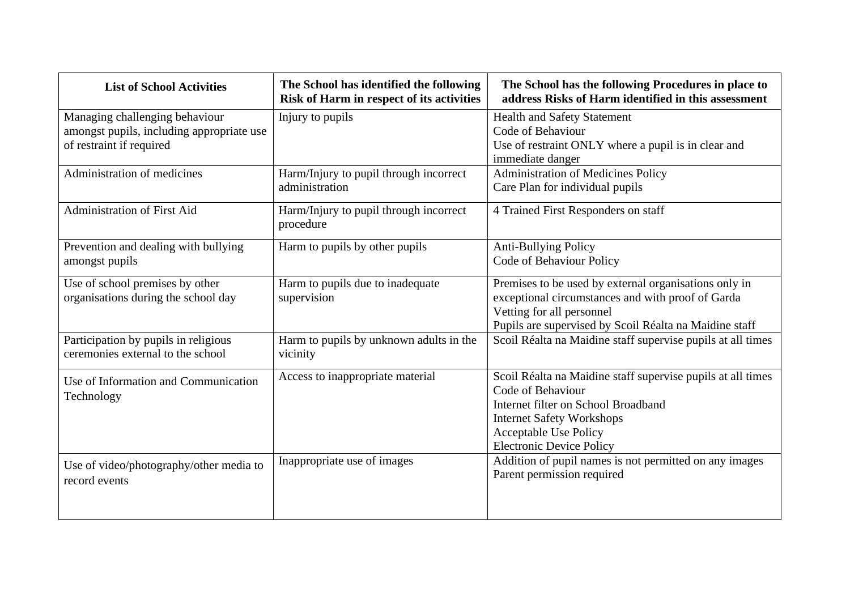| <b>List of School Activities</b>                                                                        | The School has identified the following<br>Risk of Harm in respect of its activities | The School has the following Procedures in place to<br>address Risks of Harm identified in this assessment                                                                                                              |
|---------------------------------------------------------------------------------------------------------|--------------------------------------------------------------------------------------|-------------------------------------------------------------------------------------------------------------------------------------------------------------------------------------------------------------------------|
| Managing challenging behaviour<br>amongst pupils, including appropriate use<br>of restraint if required | Injury to pupils                                                                     | <b>Health and Safety Statement</b><br>Code of Behaviour<br>Use of restraint ONLY where a pupil is in clear and<br>immediate danger                                                                                      |
| Administration of medicines                                                                             | Harm/Injury to pupil through incorrect<br>administration                             | Administration of Medicines Policy<br>Care Plan for individual pupils                                                                                                                                                   |
| <b>Administration of First Aid</b>                                                                      | Harm/Injury to pupil through incorrect<br>procedure                                  | 4 Trained First Responders on staff                                                                                                                                                                                     |
| Prevention and dealing with bullying<br>amongst pupils                                                  | Harm to pupils by other pupils                                                       | <b>Anti-Bullying Policy</b><br>Code of Behaviour Policy                                                                                                                                                                 |
| Use of school premises by other<br>organisations during the school day                                  | Harm to pupils due to inadequate<br>supervision                                      | Premises to be used by external organisations only in<br>exceptional circumstances and with proof of Garda<br>Vetting for all personnel<br>Pupils are supervised by Scoil Réalta na Maidine staff                       |
| Participation by pupils in religious<br>ceremonies external to the school                               | Harm to pupils by unknown adults in the<br>vicinity                                  | Scoil Réalta na Maidine staff supervise pupils at all times                                                                                                                                                             |
| Use of Information and Communication<br>Technology                                                      | Access to inappropriate material                                                     | Scoil Réalta na Maidine staff supervise pupils at all times<br>Code of Behaviour<br>Internet filter on School Broadband<br><b>Internet Safety Workshops</b><br>Acceptable Use Policy<br><b>Electronic Device Policy</b> |
| Use of video/photography/other media to<br>record events                                                | Inappropriate use of images                                                          | Addition of pupil names is not permitted on any images<br>Parent permission required                                                                                                                                    |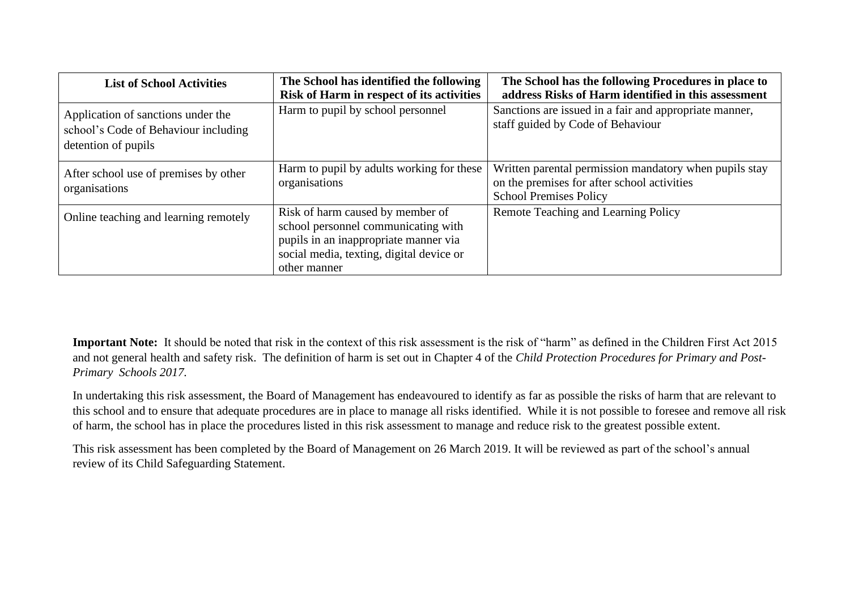| <b>List of School Activities</b>                                                                  | The School has identified the following<br>Risk of Harm in respect of its activities                                                                                         | The School has the following Procedures in place to<br>address Risks of Harm identified in this assessment                             |
|---------------------------------------------------------------------------------------------------|------------------------------------------------------------------------------------------------------------------------------------------------------------------------------|----------------------------------------------------------------------------------------------------------------------------------------|
| Application of sanctions under the<br>school's Code of Behaviour including<br>detention of pupils | Harm to pupil by school personnel                                                                                                                                            | Sanctions are issued in a fair and appropriate manner,<br>staff guided by Code of Behaviour                                            |
| After school use of premises by other<br>organisations                                            | Harm to pupil by adults working for these<br>organisations                                                                                                                   | Written parental permission mandatory when pupils stay<br>on the premises for after school activities<br><b>School Premises Policy</b> |
| Online teaching and learning remotely                                                             | Risk of harm caused by member of<br>school personnel communicating with<br>pupils in an inappropriate manner via<br>social media, texting, digital device or<br>other manner | Remote Teaching and Learning Policy                                                                                                    |

**Important Note:** It should be noted that risk in the context of this risk assessment is the risk of "harm" as defined in the Children First Act 2015 and not general health and safety risk. The definition of harm is set out in Chapter 4 of the *Child Protection Procedures for Primary and Post-Primary Schools 2017.*

In undertaking this risk assessment, the Board of Management has endeavoured to identify as far as possible the risks of harm that are relevant to this school and to ensure that adequate procedures are in place to manage all risks identified. While it is not possible to foresee and remove all risk of harm, the school has in place the procedures listed in this risk assessment to manage and reduce risk to the greatest possible extent.

This risk assessment has been completed by the Board of Management on 26 March 2019. It will be reviewed as part of the school's annual review of its Child Safeguarding Statement.